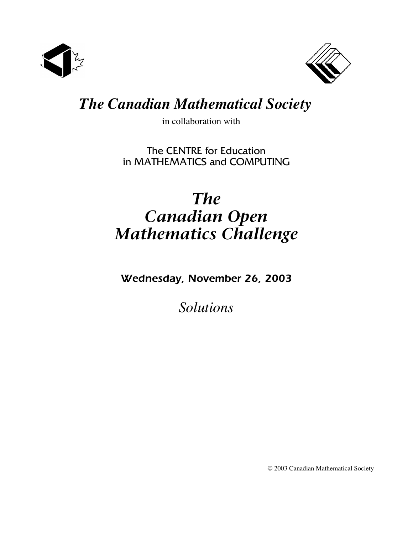



## *The Canadian Mathematical Society*

in collaboration with

The CENTRE for Education in MATHEMATICS and COMPUTING

# *The Canadian Open Mathematics Challenge*

*Wednesday, November 26, 2003*

*Solutions*

© 2003 Canadian Mathematical Society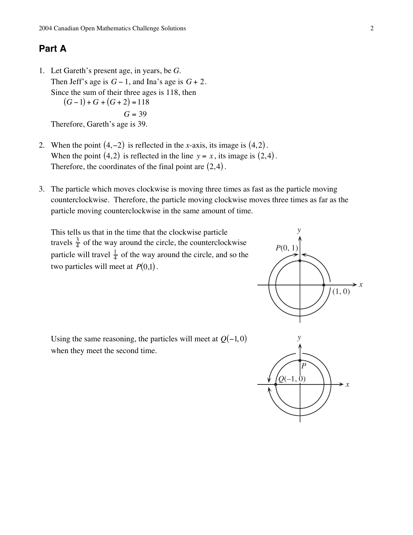### **Part A**

- 1. Let Gareth's present age, in years, be *G*. Then Jeff's age is  $G - 1$ , and Ina's age is  $G + 2$ . Since the sum of their three ages is 118, then  $(G-1) + G + (G+2) = 118$  $G = 39$ Therefore, Gareth's age is 39.
- 2. When the point  $(4, -2)$  is reflected in the *x*-axis, its image is  $(4, 2)$ . When the point  $(4,2)$  is reflected in the line  $y = x$ , its image is  $(2,4)$ . Therefore, the coordinates of the final point are  $(2,4)$ .
- 3. The particle which moves clockwise is moving three times as fast as the particle moving counterclockwise. Therefore, the particle moving clockwise moves three times as far as the particle moving counterclockwise in the same amount of time.

This tells us that in the time that the clockwise particle travels  $\frac{3}{4}$  of the way around the circle, the counterclockwise particle will travel  $\frac{1}{4}$  of the way around the circle, and so the two particles will meet at  $P(0,1)$ .



Using the same reasoning, the particles will meet at  $Q(-1, 0)$ when they meet the second time.

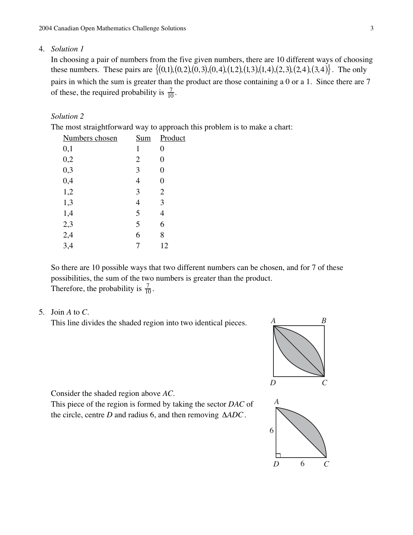#### 4. *Solution 1*

In choosing a pair of numbers from the five given numbers, there are 10 different ways of choosing these numbers. These pairs are  $\{(0,1), (0,2), (0,3), (0,4), (1,2), (1,3), (1,4), (2,3), (2,4), (3,4)\}\)$ . The only pairs in which the sum is greater than the product are those containing a 0 or a 1. Since there are 7 of these, the required probability is  $\frac{7}{10}$ .

#### *Solution 2*

The most straightforward way to approach this problem is to make a chart:

| Numbers chosen | <u>Sum</u>     | Product        |  |
|----------------|----------------|----------------|--|
| 0,1            | 1              | $\overline{0}$ |  |
| 0,2            | $\overline{2}$ | $\overline{0}$ |  |
| 0,3            | 3              | $\overline{0}$ |  |
| 0,4            | $\overline{4}$ | $\theta$       |  |
| 1,2            | 3              | $\overline{2}$ |  |
| 1,3            | $\overline{4}$ | 3              |  |
| 1,4            | 5              | 4              |  |
| 2,3            | 5              | 6              |  |
| 2,4            | 6              | 8              |  |
| 3,4            | 7              | 12             |  |
|                |                |                |  |

So there are 10 possible ways that two different numbers can be chosen, and for 7 of these possibilities, the sum of the two numbers is greater than the product. Therefore, the probability is  $\frac{7}{10}$ .

#### 5. Join *A* to *C*.

This line divides the shaded region into two identical pieces.





Consider the shaded region above *AC*.

This piece of the region is formed by taking the sector *DAC* of the circle, centre *D* and radius 6, and then removing ∆*ADC*.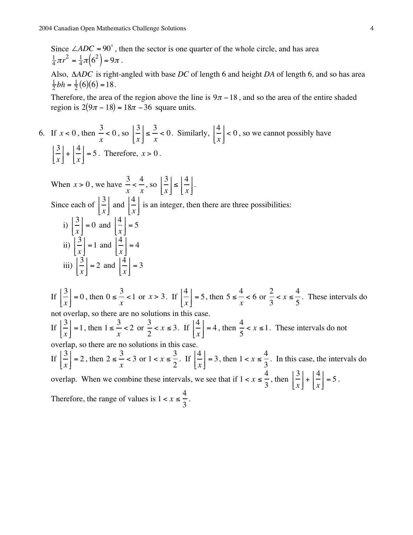Since  $\angle ADC = 90^\circ$ , then the sector is one quarter of the whole circle, and has area  $\frac{1}{4}\pi r^2 = \frac{1}{4}\pi (6^2) = 9\pi$ .

Also, ∆*ADC* is right-angled with base *DC* of length 6 and height *DA* of length 6, and so has area  $\frac{1}{2}bh = \frac{1}{2}(6)(6) = 18.$ 

Therefore, the area of the region above the line is  $9\pi - 18$ , and so the area of the entire shaded region is  $2(9\pi - 18) = 18\pi - 36$  square units.

6. If 
$$
x < 0
$$
, then  $\frac{3}{x} < 0$ , so  $\left|\frac{3}{x}\right| \le \frac{3}{x} < 0$ . Similarly,  $\left|\frac{4}{x}\right| < 0$ , so we cannot possibly have  
\n
$$
\left|\frac{3}{x}\right| + \left|\frac{4}{x}\right| = 5
$$
. Therefore,  $x > 0$ .  
\nWhen  $x > 0$ , we have  $\frac{3}{x} < \frac{4}{x}$ , so  $\left|\frac{3}{x}\right| \le \left|\frac{4}{x}\right|$ .  
\nSince each of  $\left|\frac{3}{x}\right|$  and  $\left|\frac{4}{x}\right|$  is an integer, then there are three possibilities:  
\ni)  $\left|\frac{3}{x}\right| = 0$  and  $\left|\frac{4}{x}\right| = 5$   
\nii)  $\left|\frac{3}{x}\right| = 1$  and  $\left|\frac{4}{x}\right| = 4$ 

ii) 
$$
\left[\frac{3}{x}\right] = 1
$$
 and  $\left[\frac{4}{x}\right] = 4$   
\niii)  $\left[\frac{3}{x}\right] = 2$  and  $\left[\frac{4}{x}\right] = 3$   
\nIf  $\left[\frac{3}{x}\right] = 0$ , then  $0 \le \frac{3}{x} < 1$  or  $x > 3$ . If  $\left[\frac{4}{x}\right] = 5$ , then  $5 \le \frac{4}{x} < 6$  or  $\frac{2}{3} < x \le \frac{4}{5}$ . These intervals do not overlap, so there are no solutions in this case.  
\nIf  $\left[\frac{3}{x}\right] = 1$ , then  $1 \le \frac{3}{x} < 2$  or  $\frac{3}{2} < x \le 3$ . If  $\left[\frac{4}{x}\right] = 4$ , then  $\frac{4}{5} < x \le 1$ . These intervals do not overlap, so there are no solutions in this case.  
\nIf  $\left[\frac{3}{x}\right] = 2$ , then  $2 \le \frac{3}{x} < 3$  or  $1 < x \le \frac{3}{2}$ . If  $\left[\frac{4}{x}\right] = 3$ , then  $1 < x \le \frac{4}{3}$ . In this case, the intervals do overlap. When we combine these intervals, we see that if  $1 < x \le \frac{4}{3}$ , then  $\left[\frac{3}{x}\right] + \left[\frac{4}{x}\right] = 5$ .  
\nTherefore, the range of values is  $1 < x \le \frac{4}{3}$ .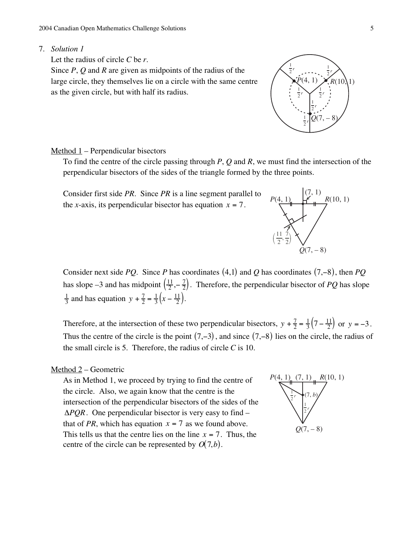#### 7. *Solution 1*

Let the radius of circle *C* be *r*.

Since *P*, *Q* and *R* are given as midpoints of the radius of the large circle, they themselves lie on a circle with the same centre as the given circle, but with half its radius.

#### Method 1 – Perpendicular bisectors

To find the centre of the circle passing through *P*, *Q* and *R*, we must find the intersection of the perpendicular bisectors of the sides of the triangle formed by the three points.



Consider next side *PO*. Since *P* has coordinates (4,1) and *O* has coordinates (7,−8), then *PO* has slope –3 and has midpoint  $\left(\frac{11}{2}, -\frac{7}{2}\right)$ . Therefore, the perpendicular bisector of *PQ* has slope  $\frac{1}{3}$  and has equation  $y + \frac{7}{2} = \frac{1}{3}(x - \frac{11}{2})$ .

Therefore, at the intersection of these two perpendicular bisectors,  $y + \frac{7}{2} = \frac{1}{3}(7 - \frac{11}{2})$  or  $y = -3$ . Thus the centre of the circle is the point  $(7, -3)$ , and since  $(7, -8)$  lies on the circle, the radius of the small circle is 5. Therefore, the radius of circle *C* is 10.

#### Method 2 – Geometric

As in Method 1, we proceed by trying to find the centre of the circle. Also, we again know that the centre is the intersection of the perpendicular bisectors of the sides of the ∆*PQR*. One perpendicular bisector is very easy to find – that of *PR*, which has equation  $x = 7$  as we found above. This tells us that the centre lies on the line  $x = 7$ . Thus, the centre of the circle can be represented by  $O(7, b)$ .





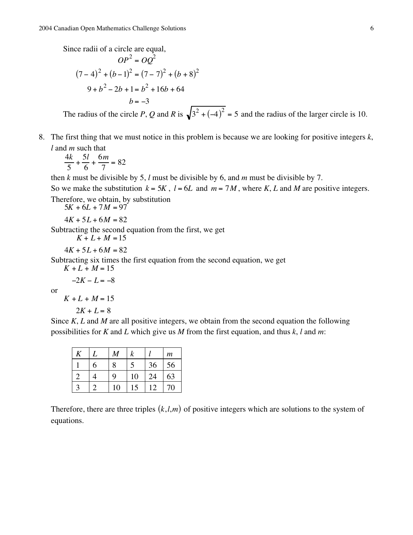Since radii of a circle are equal,

$$
OP2 = OQ2
$$
  
(7-4)<sup>2</sup> + (b-1)<sup>2</sup> = (7-7)<sup>2</sup> + (b+8)<sup>2</sup>  
9+b<sup>2</sup>-2b+1= b<sup>2</sup> +16b+64  
b = -3

The radius of the circle *P*, *Q* and *R* is  $\sqrt{3^2 + (-4)^2} = 5$  and the radius of the larger circle is 10.

8. The first thing that we must notice in this problem is because we are looking for positive integers *k*, *l* and *m* such that

$$
\frac{4k}{5} + \frac{5l}{6} + \frac{6m}{7} = 82
$$

then *k* must be divisible by 5, *l* must be divisible by 6, and *m* must be divisible by 7.

So we make the substitution  $k = 5K$ ,  $l = 6L$  and  $m = 7M$ , where *K*, *L* and *M* are positive integers. Therefore, we obtain, by substitution

 $5K + 6L + 7M = 97$ 

 $4K + 5L + 6M = 82$ 

Subtracting the second equation from the first, we get

 $K + L + M = 15$ 

 $4K + 5L + 6M = 82$ 

Subtracting six times the first equation from the second equation, we get

 $K + L + M = 15$ 

 $-2K - L = -8$ 

or

$$
K + L + M = 15
$$

 $2K + L = 8$ 

Since *K*, *L* and *M* are all positive integers, we obtain from the second equation the following possibilities for *K* and *L* which give us *M* from the first equation, and thus *k*, *l* and *m*:

| K |   | M  |    |    | $\boldsymbol{m}$ |
|---|---|----|----|----|------------------|
|   | 6 | 8  |    | 36 | 56               |
|   |   | 9  | 10 | 24 | 63               |
|   |   | 10 | 5  | 12 | 70               |

Therefore, there are three triples  $(k, l, m)$  of positive integers which are solutions to the system of equations.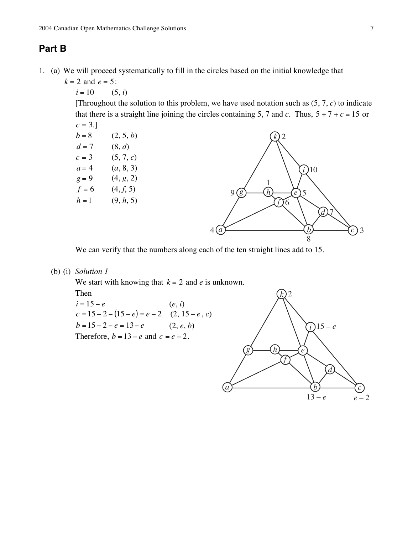## **Part B**

- 1. (a) We will proceed systematically to fill in the circles based on the initial knowledge that
	- $k = 2$  and  $e = 5$ :
		- $i = 10$  (5, *i*)

[Throughout the solution to this problem, we have used notation such as  $(5, 7, c)$  to indicate that there is a straight line joining the circles containing 5, 7 and *c*. Thus,  $5 + 7 + c = 15$  or



We can verify that the numbers along each of the ten straight lines add to 15.

(b) (i) *Solution 1*

We start with knowing that *k* = 2 and *e* is unknown.

Then

 $i = 15 - e$  (*e*, *i*)  $c = 15 - 2 - (15 - e) = e - 2$  (2, 15 – *e*, *c*)  $b = 15 - 2 - e = 13 - e$  (2, *e*, *b*) Therefore,  $b = 13 - e$  and  $c = e - 2$ .

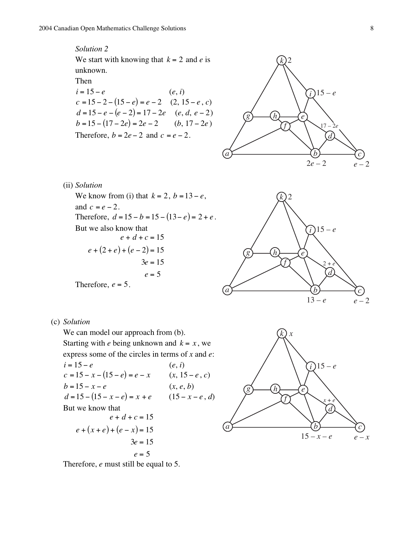*Solution 2* We start with knowing that  $k = 2$  and *e* is unknown.

#### Then

$$
i = 15 - e
$$
  
\n
$$
c = 15 - 2 - (15 - e) = e - 2
$$
  
\n
$$
d = 15 - e - (e - 2) = 17 - 2e
$$
  
\n
$$
e, d, e - 2
$$
  
\n
$$
b = 15 - (17 - 2e) = 2e - 2
$$
  
\n
$$
e, d, e - 2
$$
  
\nTherefore,  $b = 2e - 2$  and  $c = e - 2$ .



(ii) *Solution*

We know from (i) that  $k = 2$ ,  $b = 13 - e$ , and  $c = e - 2$ . Therefore,  $d = 15 - b = 15 - (13 - e) = 2 + e$ . But we also know that  $e + d + c = 15$  $e + (2 + e) + (e - 2) = 15$  $3e = 15$  $e = 5$ 

Therefore,  $e = 5$ .

(c) *Solution*

We can model our approach from  $(b)$ . Starting with *e* being unknown and  $k = x$ , we express some of the circles in terms of *x* and *e*:  $i = 15 - e$  (*e*, *i*)  $c = 15 - x - (15 - e) = e - x$  (*x*, 15 – *e*, *c*)  $b = 15 - x - e$  (*x*, *e*, *b*)  $d = 15 - (15 - x - e) = x + e$  (15 – *x* – *e*, *d*) But we know that  $e + d + c = 15$  $e + (x + e) + (e - x) = 15$  $3e = 15$ 

 $e = 5$ 



*d*

2 + *e*

 $13 - e$   $e - 2$ 

*c*

*i* 15 – *e*

*g*) (*h*) *e* 

*h*

*f*

*k* 2

*a*  $\longleftarrow$  *b* 

Therefore, *e* must still be equal to 5.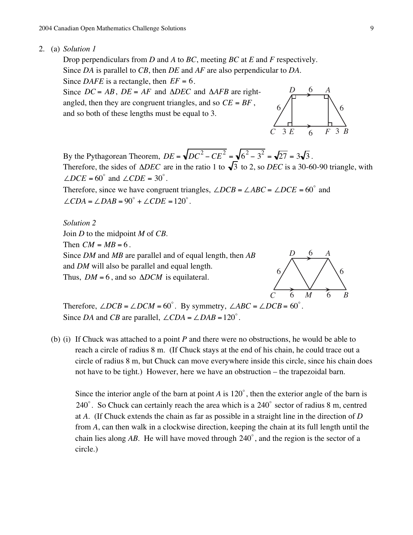2. (a) *Solution 1*

Drop perpendiculars from *D* and *A* to *BC*, meeting *BC* at *E* and *F* respectively. Since *DA* is parallel to *CB*, then *DE* and *AF* are also perpendicular to *DA*. Since *DAFE* is a rectangle, then  $EF = 6$ .

Since  $DC = AB$ ,  $DE = AF$  and  $\triangle DEC$  and  $\triangle AFB$  are rightangled, then they are congruent triangles, and so  $CE = BF$ , and so both of these lengths must be equal to 3.



By the Pythagorean Theorem,  $DE = \sqrt{DC^2 - CE^2} = \sqrt{6^2 - 3^2} = \sqrt{27} = 3\sqrt{3}$ . Therefore, the sides of  $\triangle DEC$  are in the ratio 1 to  $\sqrt{3}$  to 2, so *DEC* is a 30-60-90 triangle, with  $\angle DCE = 60^\circ$  and  $\angle CDE = 30^\circ$ .

Therefore, since we have congruent triangles,  $\angle DCB = \angle ABC = \angle DCE = 60^{\circ}$  and  $\angle CDA = \angle DAB = 90^\circ + \angle CDE = 120^\circ.$ 

*Solution 2* Join *D* to the midpoint *M* of *CB*. Then  $CM = MB = 6$ . Since *DM* and *MB* are parallel and of equal length, then *AB* and *DM* will also be parallel and equal length. Thus,  $DM = 6$ , and so  $\Delta DCM$  is equilateral.



Therefore,  $\angle DCB = \angle DCM = 60^\circ$ . By symmetry,  $\angle ABC = \angle DCB = 60^\circ$ . Since *DA* and *CB* are parallel,  $\angle$ *CDA* =  $\angle$ *DAB* = 120<sup>°</sup>.

(b) (i) If Chuck was attached to a point *P* and there were no obstructions, he would be able to reach a circle of radius 8 m. (If Chuck stays at the end of his chain, he could trace out a circle of radius 8 m, but Chuck can move everywhere inside this circle, since his chain does not have to be tight.) However, here we have an obstruction – the trapezoidal barn.

Since the interior angle of the barn at point  $A$  is  $120^{\circ}$ , then the exterior angle of the barn is  $240^\circ$ . So Chuck can certainly reach the area which is a  $240^\circ$  sector of radius 8 m, centred at *A*. (If Chuck extends the chain as far as possible in a straight line in the direction of *D* from *A*, can then walk in a clockwise direction, keeping the chain at its full length until the chain lies along AB. He will have moved through  $240^{\circ}$ , and the region is the sector of a circle.)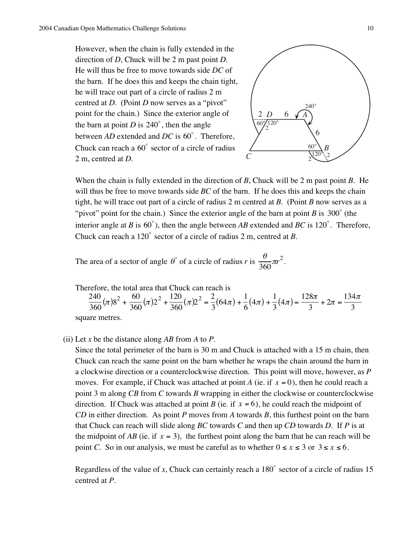However, when the chain is fully extended in the direction of *D*, Chuck will be 2 m past point *D*. He will thus be free to move towards side *DC* of the barn. If he does this and keeps the chain tight, he will trace out part of a circle of radius 2 m centred at *D*. (Point *D* now serves as a "pivot" point for the chain.) Since the exterior angle of the barn at point *D* is  $240^\circ$ , then the angle between  $AD$  extended and  $DC$  is  $60^{\circ}$ . Therefore, Chuck can reach a  $60^{\circ}$  sector of a circle of radius 2 m, centred at *D*.



When the chain is fully extended in the direction of *B*, Chuck will be 2 m past point *B*. He will thus be free to move towards side *BC* of the barn. If he does this and keeps the chain tight, he will trace out part of a circle of radius 2 m centred at *B*. (Point *B* now serves as a "pivot" point for the chain.) Since the exterior angle of the barn at point *B* is  $300^{\circ}$  (the interior angle at *B* is 60°), then the angle between *AB* extended and *BC* is 120°. Therefore, Chuck can reach a 120 $^{\circ}$  sector of a circle of radius 2 m, centred at *B*.

The area of a sector of angle  $\theta^{\circ}$  of a circle of radius *r* is  $\frac{\theta}{360}\pi r^2$ .

Therefore, the total area that Chuck can reach is

 $\frac{240}{360}(\pi)8^2 + \frac{60}{360}(\pi)2^2 + \frac{120}{360}(\pi)2^2 = \frac{2}{3}$  $(64\pi) + \frac{1}{6}(4\pi) + \frac{1}{3}(4\pi) = \frac{128\pi}{3} + 2\pi = \frac{134\pi}{3}$ square metres.

(ii) Let *x* be the distance along *AB* from *A* to *P*.

Since the total perimeter of the barn is 30 m and Chuck is attached with a 15 m chain, then Chuck can reach the same point on the barn whether he wraps the chain around the barn in a clockwise direction or a counterclockwise direction. This point will move, however, as *P* moves. For example, if Chuck was attached at point *A* (ie. if  $x = 0$ ), then he could reach a point 3 m along *CB* from *C* towards *B* wrapping in either the clockwise or counterclockwise direction. If Chuck was attached at point *B* (ie. if  $x = 6$ ), he could reach the midpoint of *CD* in either direction. As point *P* moves from *A* towards *B*, this furthest point on the barn that Chuck can reach will slide along *BC* towards *C* and then up *CD* towards *D*. If *P* is at the midpoint of  $AB$  (ie. if  $x = 3$ ), the furthest point along the barn that he can reach will be point *C*. So in our analysis, we must be careful as to whether  $0 \le x \le 3$  or  $3 \le x \le 6$ .

Regardless of the value of *x*, Chuck can certainly reach a  $180^{\circ}$  sector of a circle of radius 15 centred at *P*.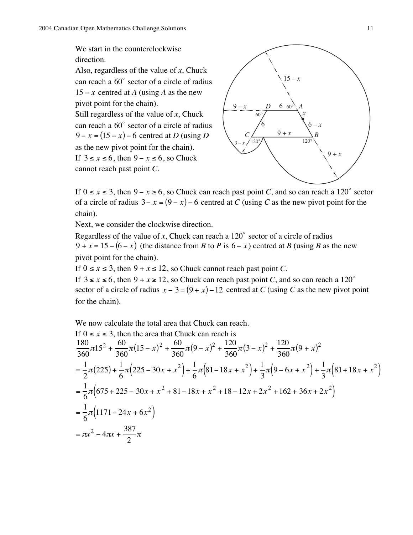We start in the counterclockwise direction.

Also, regardless of the value of *x*, Chuck can reach a  $60^\circ$  sector of a circle of radius 15 – *x* centred at *A* (using *A* as the new pivot point for the chain). Still regardless of the value of *x*, Chuck can reach a  $60^\circ$  sector of a circle of radius  $9 - x = (15 - x) - 6$  centred at *D* (using *D* as the new pivot point for the chain). If  $3 \le x \le 6$ , then  $9 - x \le 6$ , so Chuck cannot reach past point *C*.



If  $0 \le x \le 3$ , then  $9 - x \ge 6$ , so Chuck can reach past point *C*, and so can reach a 120° sector of a circle of radius  $3 - x = (9 - x) - 6$  centred at *C* (using *C* as the new pivot point for the chain).

Next, we consider the clockwise direction.

Regardless of the value of *x*, Chuck can reach a  $120^{\circ}$  sector of a circle of radius 9 +  $x = 15 - (6 - x)$  (the distance from *B* to *P* is 6 – *x*) centred at *B* (using *B* as the new pivot point for the chain).

If  $0 \le x \le 3$ , then  $9 + x \le 12$ , so Chuck cannot reach past point *C*.

If  $3 \le x \le 6$ , then  $9 + x \ge 12$ , so Chuck can reach past point *C*, and so can reach a 120<sup>o</sup> sector of a circle of radius  $x - 3 = (9 + x) - 12$  centred at *C* (using *C* as the new pivot point for the chain).

We now calculate the total area that Chuck can reach.

If 
$$
0 \le x \le 3
$$
, then the area that Chuck can reach is  
\n
$$
\frac{180}{360}\pi 15^2 + \frac{60}{360}\pi (15 - x)^2 + \frac{60}{360}\pi (9 - x)^2 + \frac{120}{360}\pi (3 - x)^2 + \frac{120}{360}\pi (9 + x)^2
$$
\n
$$
= \frac{1}{2}\pi (225) + \frac{1}{6}\pi (225 - 30x + x^2) + \frac{1}{6}\pi (81 - 18x + x^2) + \frac{1}{3}\pi (9 - 6x + x^2) + \frac{1}{3}\pi (81 + 18x + x^2)
$$
\n
$$
= \frac{1}{6}\pi (675 + 225 - 30x + x^2 + 81 - 18x + x^2 + 18 - 12x + 2x^2 + 162 + 36x + 2x^2)
$$
\n
$$
= \frac{1}{6}\pi (1171 - 24x + 6x^2)
$$
\n
$$
= \pi x^2 - 4\pi x + \frac{387}{2}\pi
$$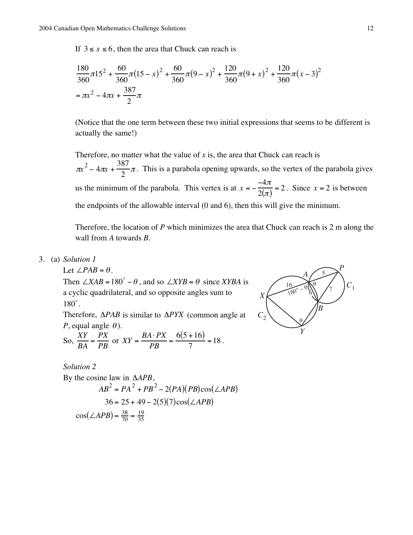If  $3 \le x \le 6$ , then the area that Chuck can reach is

$$
\frac{180}{360}\pi 15^2 + \frac{60}{360}\pi (15 - x)^2 + \frac{60}{360}\pi (9 - x)^2 + \frac{120}{360}\pi (9 + x)^2 + \frac{120}{360}\pi (x - 3)^2
$$
  
=  $\pi x^2 - 4\pi x + \frac{387}{2}\pi$ 

(Notice that the one term between these two initial expressions that seems to be different is actually the same!)

Therefore, no matter what the value of  $x$  is, the area that Chuck can reach is  $\pi x^2 - 4\pi x + \frac{387}{2}\pi$ . This is a parabola opening upwards, so the vertex of the parabola gives us the minimum of the parabola. This vertex is at  $x = -\frac{-4\pi}{2(\pi)} = 2$ . Since  $x = 2$  is between the endpoints of the allowable interval (0 and 6), then this will give the minimum.

Therefore, the location of *P* which minimizes the area that Chuck can reach is 2 m along the wall from *A* towards *B*.

3. (a) *Solution 1*

Let  $\angle PAB = \theta$ .

Then  $\angle XAB = 180^\circ - \theta$ , and so  $\angle XYB = \theta$  since *XYBA* is a cyclic quadrilateral, and so opposite angles sum to  $180^\circ$ .

Therefore, ∆*PAB* is similar to ∆*PYX* (common angle at *P*, equal angle  $\theta$ ).

So, 
$$
\frac{XY}{BA} = \frac{PX}{PB}
$$
 or  $XY = \frac{BA \cdot PX}{PB} = \frac{6(5+16)}{7} = 18$ .

*Solution 2*

By the cosine law in 
$$
\triangle APB
$$
,  
\n
$$
AB^2 = PA^2 + PB^2 - 2(PA)(PB)\cos(\angle APB)
$$
\n
$$
36 = 25 + 49 - 2(5)(7)\cos(\angle APB)
$$
\n
$$
\cos(\angle APB) = \frac{38}{70} = \frac{19}{35}
$$

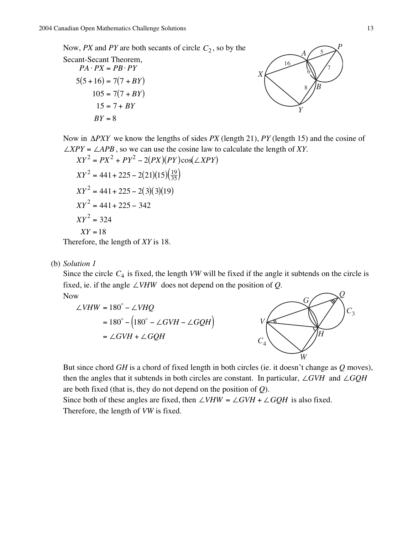Now, *PX* and *PY* are both secants of circle  $C_2$ , so by the

Secant-Secant Theorem,  $PA \cdot PX = PB \cdot PY$  $5(5+16) = 7(7+BY)$  $105 = 7(7 + BY)$  $15 = 7 + BY$ *BY* = 8



Now in ∆*PXY* we know the lengths of sides *PX* (length 21), *PY* (length 15) and the cosine of ∠*XPY* = ∠*APB*, so we can use the cosine law to calculate the length of *XY*.

$$
XY^{2} = PX^{2} + PY^{2} - 2(PX)(PY)\cos(\angle XPY)
$$
  
\n
$$
XY^{2} = 441 + 225 - 2(21)(15)(\frac{19}{35})
$$
  
\n
$$
XY^{2} = 441 + 225 - 2(3)(3)(19)
$$
  
\n
$$
XY^{2} = 441 + 225 - 342
$$
  
\n
$$
XY^{2} = 324
$$
  
\n
$$
XY = 18
$$

Therefore, the length of *XY* is 18.

(b) *Solution 1*

Since the circle  $C_4$  is fixed, the length *VW* will be fixed if the angle it subtends on the circle is fixed, ie. if the angle ∠*VHW* does not depend on the position of *Q*. Now

$$
\angle VHW = 180^\circ - \angle VHQ
$$
  
=  $180^\circ - (180^\circ - \angle GVH - \angle GQH)$   
=  $\angle GVH + \angle GQH$ 



But since chord *GH* is a chord of fixed length in both circles (ie. it doesn't change as *Q* moves), then the angles that it subtends in both circles are constant. In particular, ∠*GVH* and ∠*GQH* are both fixed (that is, they do not depend on the position of *Q*).

Since both of these angles are fixed, then  $∠VHW = ∠GVH + ∠GQH$  is also fixed. Therefore, the length of *VW* is fixed.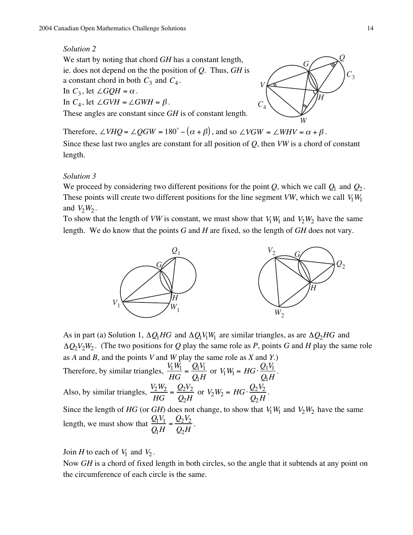#### *Solution 2*

We start by noting that chord *GH* has a constant length, ie. does not depend on the the position of *Q*. Thus, *GH* is a constant chord in both  $C_3$  and  $C_4$ . In  $C_3$ , let  $\angle GQH = \alpha$ . In  $C_4$ , let  $\angle GVH = \angle GWH = \beta$ .

These angles are constant since *GH* is of constant length.



Therefore,  $\angle VHQ = \angle QGW = 180^\circ - (\alpha + \beta)$ , and so  $\angle VGW = \angle WHV = \alpha + \beta$ .

Since these last two angles are constant for all position of *Q*, then *VW* is a chord of constant length.

#### *Solution 3*

We proceed by considering two different positions for the point  $Q$ , which we call  $Q_1$  and  $Q_2$ . These points will create two different positions for the line segment *VW*, which we call  $V_1W_1$ and  $V_2W_2$ .

To show that the length of *VW* is constant, we must show that  $V_1W_1$  and  $V_2W_2$  have the same length. We do know that the points *G* and *H* are fixed, so the length of *GH* does not vary.



As in part (a) Solution 1, ∆*Q*1*HG* and ∆*Q*1*V*1*W*1 are similar triangles, as are ∆*Q*2*HG* and ∆*Q*2*V*2*W*<sup>2</sup> . (The two positions for *Q* play the same role as *P*, points *G* and *H* play the same role as *A* and *B*, and the points *V* and *W* play the same role as *X* and *Y*.) Therefore, by similar triangles,  $\frac{V_1 W_1}{H G} = \frac{Q_1 V_1}{Q_1 H}$ or  $V_1 W_1 = HG \cdot \frac{Q_1 V_1}{Q_1 H}$  $\frac{\mathcal{L}_1 \cdot 1}{Q_1 H}$ . Also, by similar triangles,  $\frac{V_2 W_2}{H G} = \frac{Q_2 V_2}{Q_2 H}$ or  $V_2W_2 = HG \cdot \frac{Q_2V_2}{Q_2H}$  $\frac{Z_2 \cdot Z_1}{Q_2 H}$ . Since the length of *HG* (or *GH*) does not change, to show that  $V_1W_1$  and  $V_2W_2$  have the same length, we must show that  $\frac{Q_1 V_1}{Q_1 H} = \frac{Q_2 V_2}{Q_2 H}$ .

Join *H* to each of  $V_1$  and  $V_2$ .

Now *GH* is a chord of fixed length in both circles, so the angle that it subtends at any point on the circumference of each circle is the same.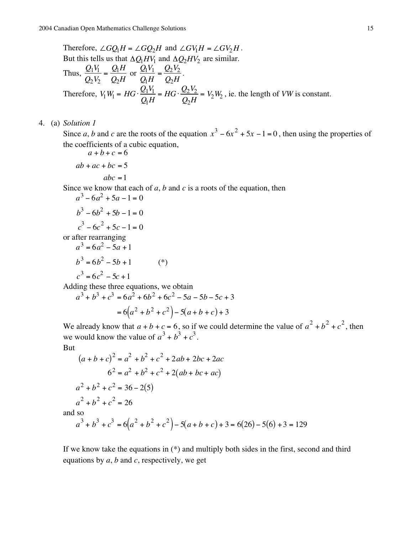Therefore,  $\angle GQ_1H = \angle GQ_2H$  and  $\angle GV_1H = \angle GV_2H$ . But this tells us that  $\Delta Q_1 H V_1$  and  $\Delta Q_2 H V_2$  are similar. Thus,  $\frac{Q_1 V_1}{Q_1 V_1}$ *Q*2*V*<sup>2</sup>  $=\frac{Q_1H}{\Omega}$ *Q*2*H* or  $\frac{Q_1 V_1}{Q_1 H} = \frac{Q_2 V_2}{Q_2 H}$ . Therefore,  $V_1 W_1 = HG \cdot \frac{Q_1 V_1}{Q_1 H} = HG \cdot \frac{Q_2 V_2}{Q_2 H} = V_2 W_2$ , ie. the length of *VW* is constant.

#### 4. (a) *Solution 1*

Since *a*, *b* and *c* are the roots of the equation  $x^3 - 6x^2 + 5x - 1 = 0$ , then using the properties of the coefficients of a cubic equation,

$$
a+b+c=6
$$
  
ab + ac + bc = 5  
abc = 1

Since we know that each of *a*, *b* and *c* is a roots of the equation, then

$$
a3-6a2+5a-1=0
$$
  
\n
$$
b3-6b2+5b-1=0
$$
  
\n
$$
c3-6c2+5c-1=0
$$
  
\nor after rearranging

$$
a3 = 6a2 - 5a + 1
$$
  
\n
$$
b3 = 6b2 - 5b + 1
$$
  
\n
$$
c3 = 6c2 - 5c + 1
$$
  
\n(\*)

Adding these three equations, we obtain

 $a^3 + b^3 + c^3 = 6a^2 + 6b^2 + 6c^2 - 5a - 5b - 5c + 3$  $= 6(a^2 + b^2 + c^2) - 5(a + b + c) + 3$ 

We already know that  $a + b + c = 6$ , so if we could determine the value of  $a^2 + b^2 + c^2$ , then we would know the value of  $a^3 + b^3 + c^3$ .

But

$$
(a+b+c)^2 = a^2 + b^2 + c^2 + 2ab + 2bc + 2ac
$$
  
\n
$$
6^2 = a^2 + b^2 + c^2 + 2(ab + bc + ac)
$$
  
\n
$$
a^2 + b^2 + c^2 = 36 - 2(5)
$$
  
\n
$$
a^2 + b^2 + c^2 = 26
$$
  
\nand so  
\n
$$
a^3 + b^3 + c^3 = 6(a^2 + b^2 + c^2) - 5(a+b+c) + 3 = 6(26) - 5(6) + 3 = 129
$$

If we know take the equations in (\*) and multiply both sides in the first, second and third equations by *a*, *b* and *c*, respectively, we get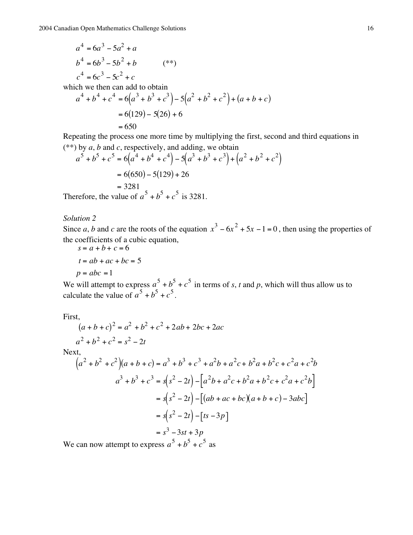$$
a4 = 6a3 - 5a2 + a
$$
  
\n
$$
b4 = 6b3 - 5b2 + b
$$
  
\n
$$
c4 = 6c3 - 5c2 + c
$$
  
\nwhich we then can add to obtain  
\n
$$
a4 + b4 + c4 = 6(a3 + b3 + c3) - 5(a2 + b2 + c2) + (a + b + c)
$$
  
\n
$$
= 6(129) - 5(26) + 6
$$
  
\n
$$
= 650
$$

Repeating the process one more time by multiplying the first, second and third equations in (\*\*) by *a*, *b* and *c*, respectively, and adding, we obtain

$$
a^5 + b^5 + c^5 = 6(a^4 + b^4 + c^4) - 5(a^3 + b^3 + c^3) + (a^2 + b^2 + c^2)
$$
  
= 6(650) - 5(129) + 26  
= 3281  
Therefore, the value of  $a^5 + b^5 + c^5$  is 3281.

*Solution 2*

Since *a*, *b* and *c* are the roots of the equation  $x^3 - 6x^2 + 5x - 1 = 0$ , then using the properties of the coefficients of a cubic equation,

$$
s = a + b + c = 6
$$
  

$$
t = ab + ac + bc = 5
$$
  

$$
p = abc = 1
$$

We will attempt to express  $a^5 + b^5 + c^5$  in terms of *s*, *t* and *p*, which will thus allow us to calculate the value of  $a^5 + b^5 + c^5$ .

First,

$$
(a+b+c)^2 = a^2 + b^2 + c^2 + 2ab + 2bc + 2ac
$$
  

$$
a^2 + b^2 + c^2 = s^2 - 2t
$$

Next,

$$
(a2 + b2 + c2)(a + b + c) = a3 + b3 + c3 + a2b + a2c + b2a + b2c + c2a + c2b
$$
  

$$
a3 + b3 + c3 = s(s2 - 2t) - [a2b + a2c + b2a + b2c + c2a + c2b]
$$
  

$$
= s(s2 - 2t) - [(ab + ac + bc)(a + b + c) - 3abc]
$$
  

$$
= s(s2 - 2t) - [ts - 3p]
$$
  

$$
= s3 - 3st + 3p
$$
  
*7e* can now attempt to express  $a5 + b5 + c5$  as

We can now attempt to express *a*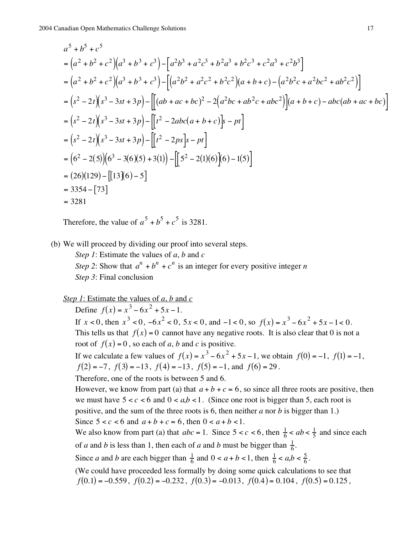$$
a^{5} + b^{5} + c^{5}
$$
\n
$$
= (a^{2} + b^{2} + c^{2})(a^{3} + b^{3} + c^{3}) - [a^{2}b^{3} + a^{2}c^{3} + b^{2}a^{3} + b^{2}c^{3} + c^{2}a^{3} + c^{2}b^{3}]
$$
\n
$$
= (a^{2} + b^{2} + c^{2})(a^{3} + b^{3} + c^{3}) - [(a^{2}b^{2} + a^{2}c^{2} + b^{2}c^{2})(a + b + c) - (a^{2}b^{2}c + a^{2}bc^{2} + ab^{2}c^{2})]
$$
\n
$$
= (s^{2} - 2t)(s^{3} - 3st + 3p) - [[(ab + ac + bc)^{2} - 2(a^{2}bc + ab^{2}c + abc^{2})](a + b + c) - abc(ab + ac + bc)]
$$
\n
$$
= (s^{2} - 2t)(s^{3} - 3st + 3p) - [[t^{2} - 2abc(a + b + c)]s - pt]
$$
\n
$$
= (s^{2} - 2t)(s^{3} - 3st + 3p) - [[t^{2} - 2ps]s - pt]
$$
\n
$$
= (6^{2} - 2(5))(6^{3} - 3(6)(5) + 3(1)) - [[5^{2} - 2(1)(6)](6) - 1(5)]
$$
\n
$$
= (26)(129) - [[13](6) - 5]
$$
\n
$$
= 3354 - [73]
$$
\n
$$
= 3281
$$

Therefore, the value of  $a^5 + b^5 + c^5$  is 3281.

(b) We will proceed by dividing our proof into several steps.

*Step 1*: Estimate the values of *a*, *b* and *c Step 2*: Show that  $a^n + b^n + c^n$  is an integer for every positive integer *n Step 3*: Final conclusion

*Step 1*: Estimate the values of *a*, *b* and *c*

Define  $f(x) = x^3 - 6x^2 + 5x - 1$ .

If  $x < 0$ , then  $x^3 < 0$ ,  $-6x^2 < 0$ ,  $5x < 0$ , and  $-1 < 0$ , so  $f(x) = x^3 - 6x^2 + 5x - 1 < 0$ . This tells us that  $f(x) = 0$  cannot have any negative roots. It is also clear that 0 is not a root of  $f(x) = 0$ , so each of *a*, *b* and *c* is positive.

If we calculate a few values of  $f(x) = x^3 - 6x^2 + 5x - 1$ , we obtain  $f(0) = -1$ ,  $f(1) = -1$ ,  $f(2) = -7$ ,  $f(3) = -13$ ,  $f(4) = -13$ ,  $f(5) = -1$ , and  $f(6) = 29$ .

Therefore, one of the roots is between 5 and 6.

However, we know from part (a) that  $a + b + c = 6$ , so since all three roots are positive, then we must have  $5 < c < 6$  and  $0 < a,b < 1$ . (Since one root is bigger than 5, each root is positive, and the sum of the three roots is 6, then neither *a* nor *b* is bigger than 1.) Since  $5 < c < 6$  and  $a + b + c = 6$ , then  $0 < a + b < 1$ .

We also know from part (a) that  $abc = 1$ . Since  $5 < c < 6$ , then  $\frac{1}{6} < ab < \frac{1}{5}$  and since each of *a* and *b* is less than 1, then each of *a* and *b* must be bigger than  $\frac{1}{6}$ .

Since *a* and *b* are each bigger than  $\frac{1}{6}$  and  $0 < a + b < 1$ , then  $\frac{1}{6} < a, b < \frac{5}{6}$ .

(We could have proceeded less formally by doing some quick calculations to see that  $f(0.1) = -0.559$ ,  $f(0.2) = -0.232$ ,  $f(0.3) = -0.013$ ,  $f(0.4) = 0.104$ ,  $f(0.5) = 0.125$ ,